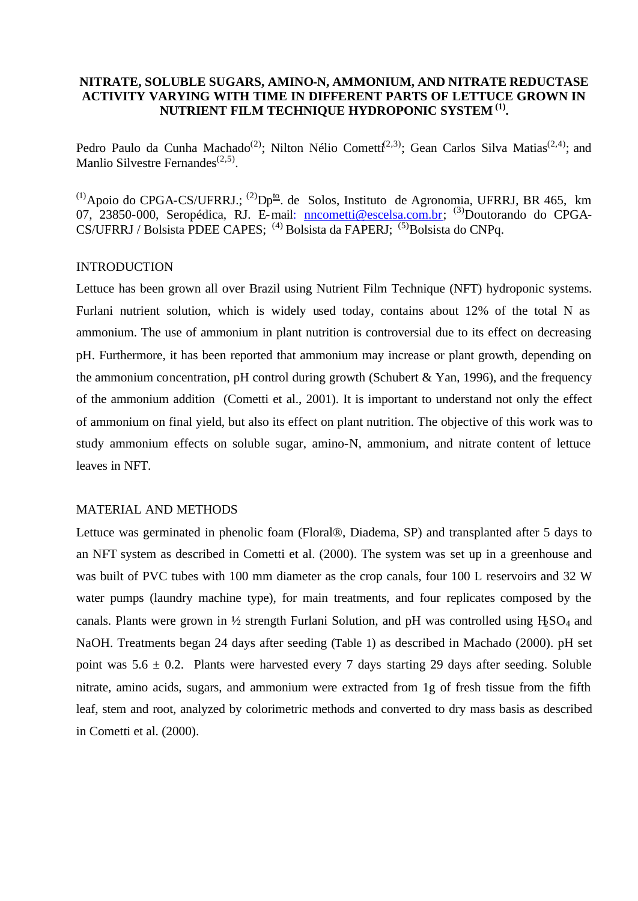# **NITRATE, SOLUBLE SUGARS, AMINO-N, AMMONIUM, AND NITRATE REDUCTASE ACTIVITY VARYING WITH TIME IN DIFFERENT PARTS OF LETTUCE GROWN IN NUTRIENT FILM TECHNIQUE HYDROPONIC SYSTEM (1) .**

Pedro Paulo da Cunha Machado<sup>(2)</sup>; Nilton Nélio Cometti<sup>(2,3)</sup>; Gean Carlos Silva Matias<sup>(2,4)</sup>; and Manlio Silvestre Fernandes<sup>(2,5)</sup>.

 $^{(1)}$ Apoio do CPGA-CS/UFRRJ.;  $^{(2)}$ Dp<sup>to</sup>. de Solos, Instituto de Agronomia, UFRRJ, BR 465, km 07, 23850-000, Seropédica, RJ. E-mail: nncometti@escelsa.com.br; <sup>(3)</sup>Doutorando do CPGA-CS/UFRRJ / Bolsista PDEE CAPES; <sup>(4)</sup> Bolsista da FAPERJ; <sup>(5)</sup>Bolsista do CNPq.

#### INTRODUCTION

Lettuce has been grown all over Brazil using Nutrient Film Technique (NFT) hydroponic systems. Furlani nutrient solution, which is widely used today, contains about 12% of the total N as ammonium. The use of ammonium in plant nutrition is controversial due to its effect on decreasing pH. Furthermore, it has been reported that ammonium may increase or plant growth, depending on the ammonium concentration, pH control during growth (Schubert  $& Yan, 1996$ ), and the frequency of the ammonium addition (Cometti et al., 2001). It is important to understand not only the effect of ammonium on final yield, but also its effect on plant nutrition. The objective of this work was to study ammonium effects on soluble sugar, amino-N, ammonium, and nitrate content of lettuce leaves in NFT.

### MATERIAL AND METHODS

Lettuce was germinated in phenolic foam (Floral®, Diadema, SP) and transplanted after 5 days to an NFT system as described in Cometti et al. (2000). The system was set up in a greenhouse and was built of PVC tubes with 100 mm diameter as the crop canals, four 100 L reservoirs and 32 W water pumps (laundry machine type), for main treatments, and four replicates composed by the canals. Plants were grown in  $\frac{1}{2}$  strength Furlani Solution, and pH was controlled using H<sub>2</sub>SO<sub>4</sub> and NaOH. Treatments began 24 days after seeding (Table 1) as described in Machado (2000). pH set point was  $5.6 \pm 0.2$ . Plants were harvested every 7 days starting 29 days after seeding. Soluble nitrate, amino acids, sugars, and ammonium were extracted from 1g of fresh tissue from the fifth leaf, stem and root, analyzed by colorimetric methods and converted to dry mass basis as described in Cometti et al. (2000).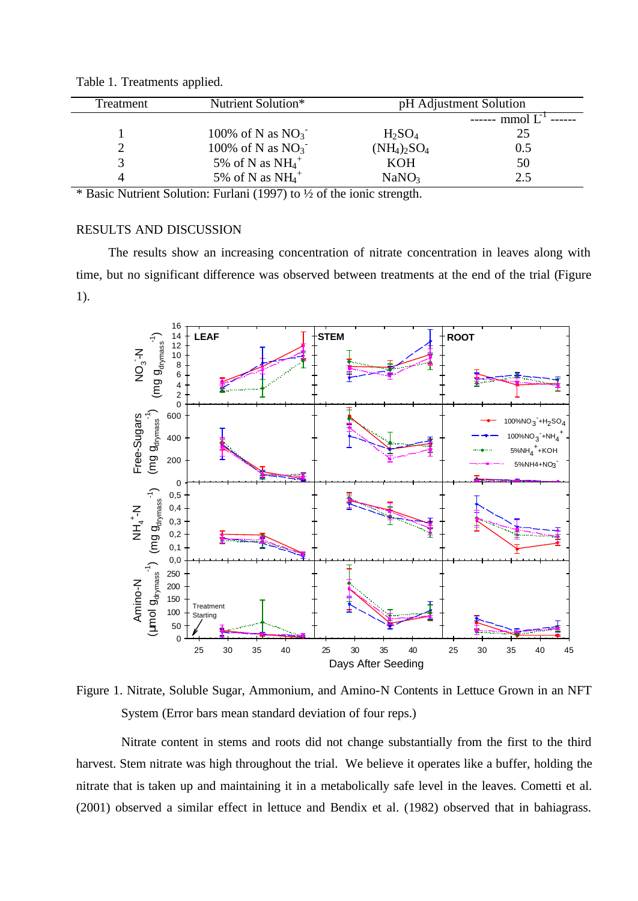| Freatment | Nutrient Solution*    | pH Adjustment Solution |                |
|-----------|-----------------------|------------------------|----------------|
|           |                       |                        | $---$ mmol $L$ |
|           | 100% of N as $NO_3^-$ | $H_2SO_4$              | 25             |
|           | 100% of N as $NO3$    | $(NH_4)_2SO_4$         | 0.5            |
|           | 5% of N as $NH4+$     | <b>KOH</b>             | 50             |
|           | 5% of N as $NH4+$     | NaNO <sub>3</sub>      | 2.5            |

Table 1. Treatments applied.

\* Basic Nutrient Solution: Furlani (1997) to ½ of the ionic strength.

# RESULTS AND DISCUSSION

The results show an increasing concentration of nitrate concentration in leaves along with time, but no significant difference was observed between treatments at the end of the trial (Figure 1).



Figure 1. Nitrate, Soluble Sugar, Ammonium, and Amino-N Contents in Lettuce Grown in an NFT System (Error bars mean standard deviation of four reps.)

Nitrate content in stems and roots did not change substantially from the first to the third harvest. Stem nitrate was high throughout the trial. We believe it operates like a buffer, holding the nitrate that is taken up and maintaining it in a metabolically safe level in the leaves. Cometti et al. (2001) observed a similar effect in lettuce and Bendix et al. (1982) observed that in bahiagrass.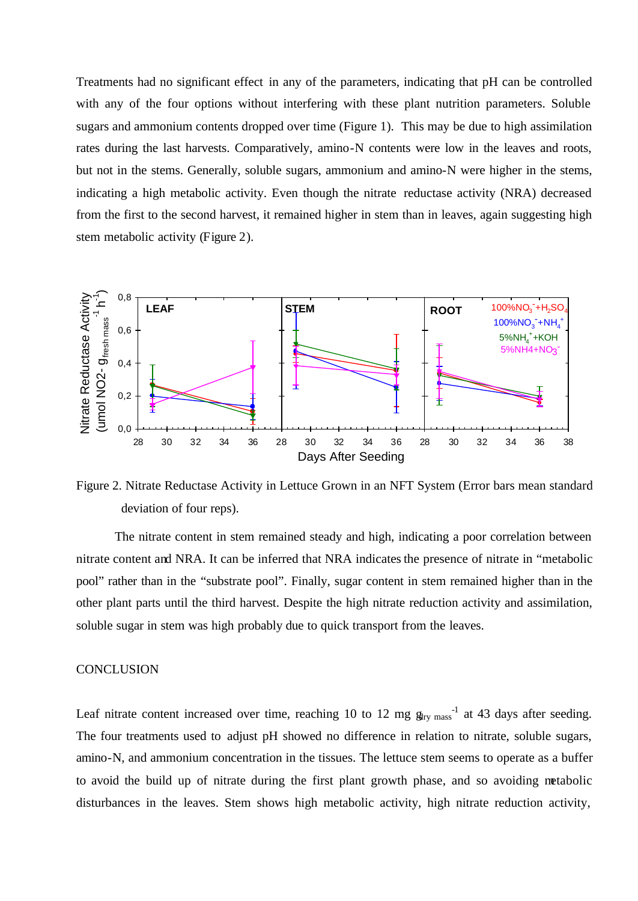Treatments had no significant effect in any of the parameters, indicating that pH can be controlled with any of the four options without interfering with these plant nutrition parameters. Soluble sugars and ammonium contents dropped over time (Figure 1). This may be due to high assimilation rates during the last harvests. Comparatively, amino-N contents were low in the leaves and roots, but not in the stems. Generally, soluble sugars, ammonium and amino-N were higher in the stems, indicating a high metabolic activity. Even though the nitrate reductase activity (NRA) decreased from the first to the second harvest, it remained higher in stem than in leaves, again suggesting high stem metabolic activity (Figure 2).



Figure 2. Nitrate Reductase Activity in Lettuce Grown in an NFT System (Error bars mean standard deviation of four reps).

The nitrate content in stem remained steady and high, indicating a poor correlation between nitrate content and NRA. It can be inferred that NRA indicates the presence of nitrate in "metabolic pool" rather than in the "substrate pool". Finally, sugar content in stem remained higher than in the other plant parts until the third harvest. Despite the high nitrate reduction activity and assimilation, soluble sugar in stem was high probably due to quick transport from the leaves.

#### **CONCLUSION**

Leaf nitrate content increased over time, reaching 10 to 12 mg  $g_{\text{try mass}}^{-1}$  at 43 days after seeding. The four treatments used to adjust pH showed no difference in relation to nitrate, soluble sugars, amino-N, and ammonium concentration in the tissues. The lettuce stem seems to operate as a buffer to avoid the build up of nitrate during the first plant growth phase, and so avoiding metabolic disturbances in the leaves. Stem shows high metabolic activity, high nitrate reduction activity,